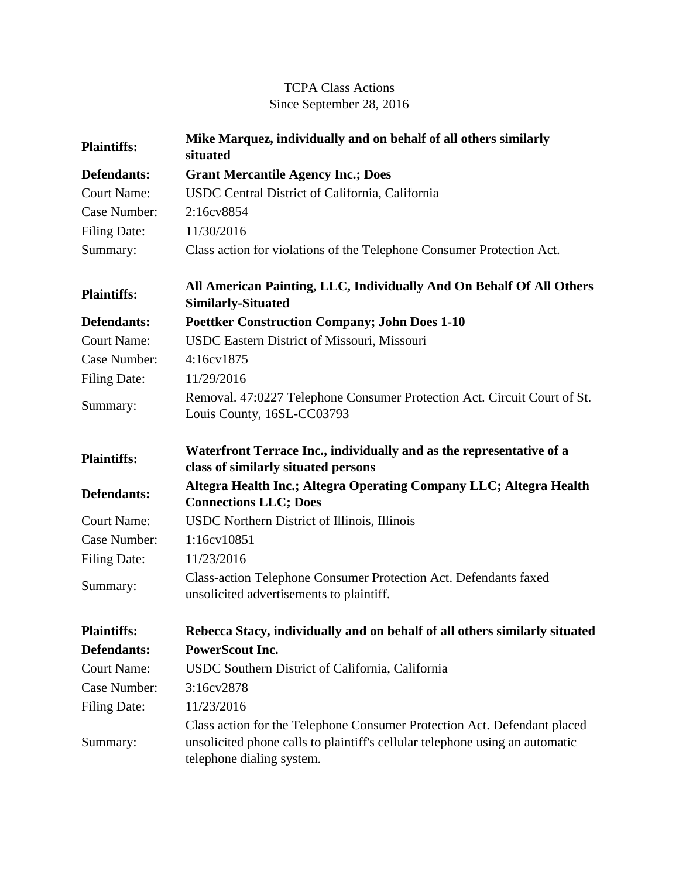## TCPA Class Actions Since September 28, 2016

| <b>Plaintiffs:</b>  | Mike Marquez, individually and on behalf of all others similarly<br>situated                                                                                                          |
|---------------------|---------------------------------------------------------------------------------------------------------------------------------------------------------------------------------------|
| Defendants:         | <b>Grant Mercantile Agency Inc.; Does</b>                                                                                                                                             |
| <b>Court Name:</b>  | USDC Central District of California, California                                                                                                                                       |
| Case Number:        | 2:16cv8854                                                                                                                                                                            |
| Filing Date:        | 11/30/2016                                                                                                                                                                            |
| Summary:            | Class action for violations of the Telephone Consumer Protection Act.                                                                                                                 |
| <b>Plaintiffs:</b>  | All American Painting, LLC, Individually And On Behalf Of All Others<br><b>Similarly-Situated</b>                                                                                     |
| Defendants:         | <b>Poettker Construction Company; John Does 1-10</b>                                                                                                                                  |
| <b>Court Name:</b>  | USDC Eastern District of Missouri, Missouri                                                                                                                                           |
| Case Number:        | 4:16cv1875                                                                                                                                                                            |
| <b>Filing Date:</b> | 11/29/2016                                                                                                                                                                            |
| Summary:            | Removal. 47:0227 Telephone Consumer Protection Act. Circuit Court of St.<br>Louis County, 16SL-CC03793                                                                                |
| <b>Plaintiffs:</b>  | Waterfront Terrace Inc., individually and as the representative of a<br>class of similarly situated persons                                                                           |
| <b>Defendants:</b>  | Altegra Health Inc.; Altegra Operating Company LLC; Altegra Health<br><b>Connections LLC; Does</b>                                                                                    |
| <b>Court Name:</b>  | USDC Northern District of Illinois, Illinois                                                                                                                                          |
| Case Number:        | 1:16cv10851                                                                                                                                                                           |
| <b>Filing Date:</b> | 11/23/2016                                                                                                                                                                            |
| Summary:            | Class-action Telephone Consumer Protection Act. Defendants faxed<br>unsolicited advertisements to plaintiff.                                                                          |
| <b>Plaintiffs:</b>  | Rebecca Stacy, individually and on behalf of all others similarly situated                                                                                                            |
| <b>Defendants:</b>  | <b>PowerScout Inc.</b>                                                                                                                                                                |
| <b>Court Name:</b>  | USDC Southern District of California, California                                                                                                                                      |
| Case Number:        | 3:16cv2878                                                                                                                                                                            |
| <b>Filing Date:</b> | 11/23/2016                                                                                                                                                                            |
| Summary:            | Class action for the Telephone Consumer Protection Act. Defendant placed<br>unsolicited phone calls to plaintiff's cellular telephone using an automatic<br>telephone dialing system. |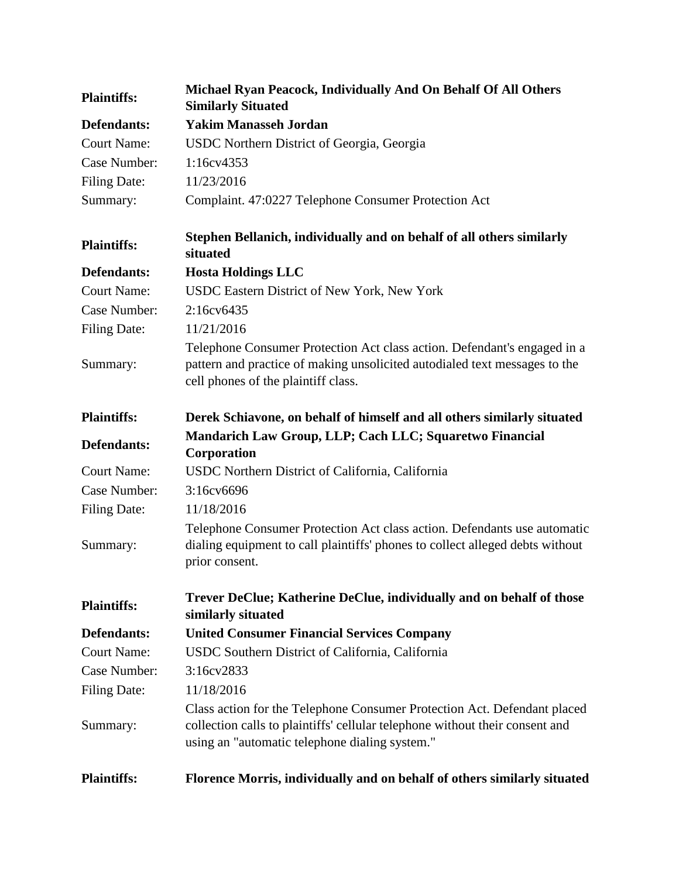| <b>Plaintiffs:</b>  | Michael Ryan Peacock, Individually And On Behalf Of All Others<br><b>Similarly Situated</b>                                                                                                                |
|---------------------|------------------------------------------------------------------------------------------------------------------------------------------------------------------------------------------------------------|
| Defendants:         | <b>Yakim Manasseh Jordan</b>                                                                                                                                                                               |
| <b>Court Name:</b>  | USDC Northern District of Georgia, Georgia                                                                                                                                                                 |
| Case Number:        | 1:16cv4353                                                                                                                                                                                                 |
| <b>Filing Date:</b> | 11/23/2016                                                                                                                                                                                                 |
| Summary:            | Complaint. 47:0227 Telephone Consumer Protection Act                                                                                                                                                       |
| <b>Plaintiffs:</b>  | Stephen Bellanich, individually and on behalf of all others similarly<br>situated                                                                                                                          |
| Defendants:         | <b>Hosta Holdings LLC</b>                                                                                                                                                                                  |
| <b>Court Name:</b>  | USDC Eastern District of New York, New York                                                                                                                                                                |
| Case Number:        | 2:16cv6435                                                                                                                                                                                                 |
| Filing Date:        | 11/21/2016                                                                                                                                                                                                 |
| Summary:            | Telephone Consumer Protection Act class action. Defendant's engaged in a<br>pattern and practice of making unsolicited autodialed text messages to the<br>cell phones of the plaintiff class.              |
| <b>Plaintiffs:</b>  | Derek Schiavone, on behalf of himself and all others similarly situated                                                                                                                                    |
| Defendants:         | Mandarich Law Group, LLP; Cach LLC; Squaretwo Financial<br>Corporation                                                                                                                                     |
| <b>Court Name:</b>  | USDC Northern District of California, California                                                                                                                                                           |
| Case Number:        | 3:16cv6696                                                                                                                                                                                                 |
| <b>Filing Date:</b> | 11/18/2016                                                                                                                                                                                                 |
| Summary:            | Telephone Consumer Protection Act class action. Defendants use automatic<br>dialing equipment to call plaintiffs' phones to collect alleged debts without<br>prior consent.                                |
| <b>Plaintiffs:</b>  | Trever DeClue; Katherine DeClue, individually and on behalf of those<br>similarly situated                                                                                                                 |
| Defendants:         | <b>United Consumer Financial Services Company</b>                                                                                                                                                          |
| <b>Court Name:</b>  | USDC Southern District of California, California                                                                                                                                                           |
| Case Number:        | 3:16cv2833                                                                                                                                                                                                 |
| <b>Filing Date:</b> | 11/18/2016                                                                                                                                                                                                 |
| Summary:            | Class action for the Telephone Consumer Protection Act. Defendant placed<br>collection calls to plaintiffs' cellular telephone without their consent and<br>using an "automatic telephone dialing system." |
| <b>Plaintiffs:</b>  | Florence Morris, individually and on behalf of others similarly situated                                                                                                                                   |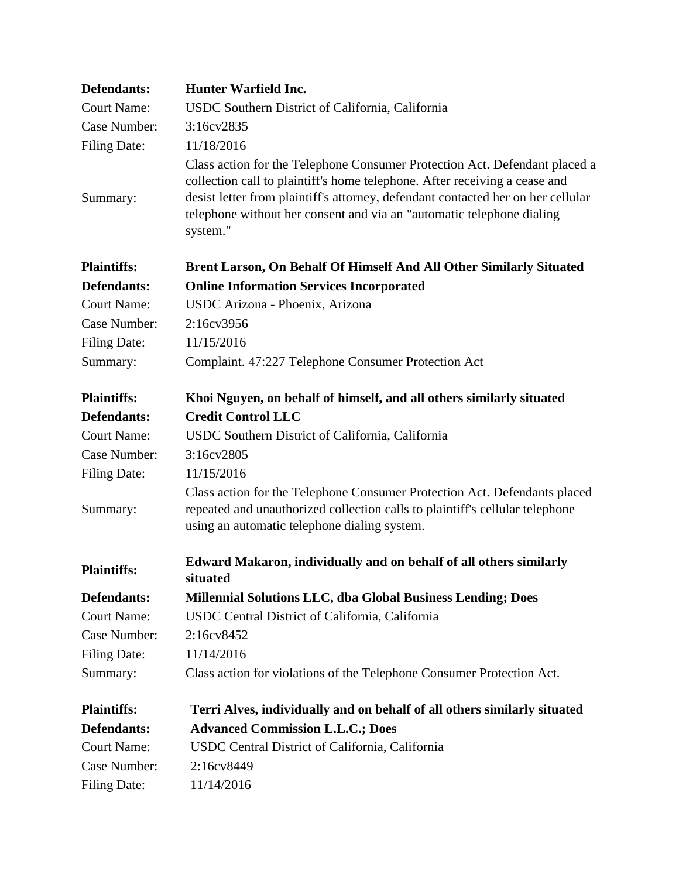| Defendants:         | <b>Hunter Warfield Inc.</b>                                                                                                                                                                                                                                                                                                       |
|---------------------|-----------------------------------------------------------------------------------------------------------------------------------------------------------------------------------------------------------------------------------------------------------------------------------------------------------------------------------|
| <b>Court Name:</b>  | USDC Southern District of California, California                                                                                                                                                                                                                                                                                  |
| Case Number:        | 3:16cv2835                                                                                                                                                                                                                                                                                                                        |
| <b>Filing Date:</b> | 11/18/2016                                                                                                                                                                                                                                                                                                                        |
| Summary:            | Class action for the Telephone Consumer Protection Act. Defendant placed a<br>collection call to plaintiff's home telephone. After receiving a cease and<br>desist letter from plaintiff's attorney, defendant contacted her on her cellular<br>telephone without her consent and via an "automatic telephone dialing<br>system." |
| <b>Plaintiffs:</b>  | Brent Larson, On Behalf Of Himself And All Other Similarly Situated                                                                                                                                                                                                                                                               |
| Defendants:         | <b>Online Information Services Incorporated</b>                                                                                                                                                                                                                                                                                   |
| <b>Court Name:</b>  | USDC Arizona - Phoenix, Arizona                                                                                                                                                                                                                                                                                                   |
| Case Number:        | 2:16cv3956                                                                                                                                                                                                                                                                                                                        |
| <b>Filing Date:</b> | 11/15/2016                                                                                                                                                                                                                                                                                                                        |
| Summary:            | Complaint. 47:227 Telephone Consumer Protection Act                                                                                                                                                                                                                                                                               |
| <b>Plaintiffs:</b>  | Khoi Nguyen, on behalf of himself, and all others similarly situated                                                                                                                                                                                                                                                              |
| Defendants:         | <b>Credit Control LLC</b>                                                                                                                                                                                                                                                                                                         |
| <b>Court Name:</b>  | USDC Southern District of California, California                                                                                                                                                                                                                                                                                  |
| Case Number:        | 3:16cv2805                                                                                                                                                                                                                                                                                                                        |
| <b>Filing Date:</b> | 11/15/2016                                                                                                                                                                                                                                                                                                                        |
| Summary:            | Class action for the Telephone Consumer Protection Act. Defendants placed<br>repeated and unauthorized collection calls to plaintiff's cellular telephone<br>using an automatic telephone dialing system.                                                                                                                         |
| <b>Plaintiffs:</b>  | Edward Makaron, individually and on behalf of all others similarly<br>situated                                                                                                                                                                                                                                                    |
| Defendants:         | <b>Millennial Solutions LLC, dba Global Business Lending; Does</b>                                                                                                                                                                                                                                                                |
| <b>Court Name:</b>  | USDC Central District of California, California                                                                                                                                                                                                                                                                                   |
| Case Number:        | 2:16cv8452                                                                                                                                                                                                                                                                                                                        |
| <b>Filing Date:</b> | 11/14/2016                                                                                                                                                                                                                                                                                                                        |
| Summary:            | Class action for violations of the Telephone Consumer Protection Act.                                                                                                                                                                                                                                                             |
| <b>Plaintiffs:</b>  | Terri Alves, individually and on behalf of all others similarly situated                                                                                                                                                                                                                                                          |
| <b>Defendants:</b>  | <b>Advanced Commission L.L.C.; Does</b>                                                                                                                                                                                                                                                                                           |
| <b>Court Name:</b>  | USDC Central District of California, California                                                                                                                                                                                                                                                                                   |
| Case Number:        | 2:16cv8449                                                                                                                                                                                                                                                                                                                        |
| <b>Filing Date:</b> | 11/14/2016                                                                                                                                                                                                                                                                                                                        |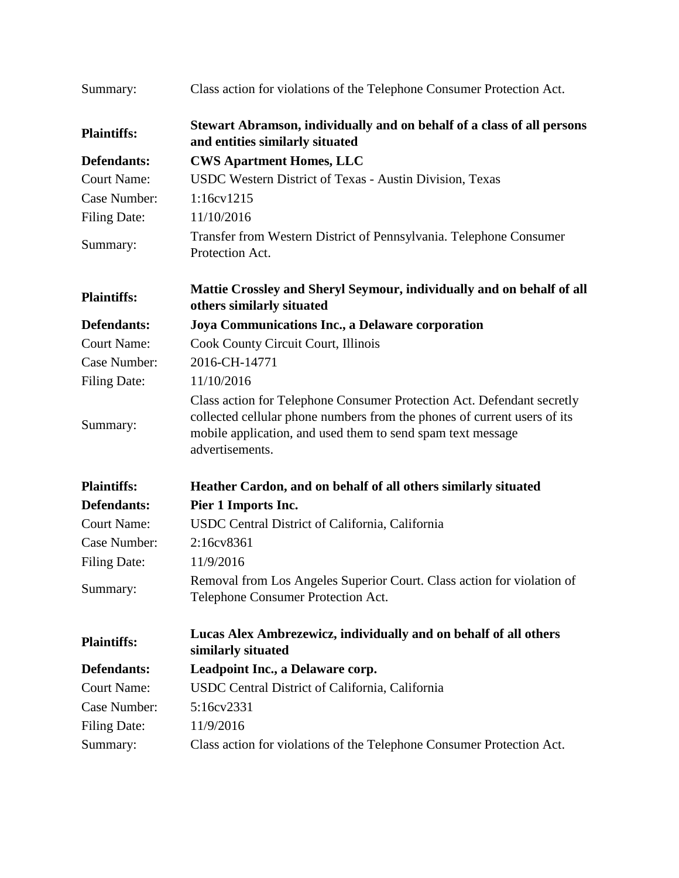| Summary:            | Class action for violations of the Telephone Consumer Protection Act.                                                                                                                                                                |
|---------------------|--------------------------------------------------------------------------------------------------------------------------------------------------------------------------------------------------------------------------------------|
| <b>Plaintiffs:</b>  | Stewart Abramson, individually and on behalf of a class of all persons<br>and entities similarly situated                                                                                                                            |
| Defendants:         | <b>CWS Apartment Homes, LLC</b>                                                                                                                                                                                                      |
| <b>Court Name:</b>  | USDC Western District of Texas - Austin Division, Texas                                                                                                                                                                              |
| Case Number:        | 1:16cv1215                                                                                                                                                                                                                           |
| <b>Filing Date:</b> | 11/10/2016                                                                                                                                                                                                                           |
| Summary:            | Transfer from Western District of Pennsylvania. Telephone Consumer<br>Protection Act.                                                                                                                                                |
| <b>Plaintiffs:</b>  | Mattie Crossley and Sheryl Seymour, individually and on behalf of all<br>others similarly situated                                                                                                                                   |
| Defendants:         | Joya Communications Inc., a Delaware corporation                                                                                                                                                                                     |
| <b>Court Name:</b>  | Cook County Circuit Court, Illinois                                                                                                                                                                                                  |
| Case Number:        | 2016-CH-14771                                                                                                                                                                                                                        |
| <b>Filing Date:</b> | 11/10/2016                                                                                                                                                                                                                           |
| Summary:            | Class action for Telephone Consumer Protection Act. Defendant secretly<br>collected cellular phone numbers from the phones of current users of its<br>mobile application, and used them to send spam text message<br>advertisements. |
| <b>Plaintiffs:</b>  | Heather Cardon, and on behalf of all others similarly situated                                                                                                                                                                       |
| Defendants:         | Pier 1 Imports Inc.                                                                                                                                                                                                                  |
| <b>Court Name:</b>  | USDC Central District of California, California                                                                                                                                                                                      |
| Case Number:        | 2:16cv8361                                                                                                                                                                                                                           |
| <b>Filing Date:</b> | 11/9/2016                                                                                                                                                                                                                            |
| Summary:            | Removal from Los Angeles Superior Court. Class action for violation of<br>Telephone Consumer Protection Act.                                                                                                                         |
| <b>Plaintiffs:</b>  | Lucas Alex Ambrezewicz, individually and on behalf of all others<br>similarly situated                                                                                                                                               |
| Defendants:         | Leadpoint Inc., a Delaware corp.                                                                                                                                                                                                     |
| <b>Court Name:</b>  | USDC Central District of California, California                                                                                                                                                                                      |
| Case Number:        | 5:16cv2331                                                                                                                                                                                                                           |
| <b>Filing Date:</b> | 11/9/2016                                                                                                                                                                                                                            |
| Summary:            | Class action for violations of the Telephone Consumer Protection Act.                                                                                                                                                                |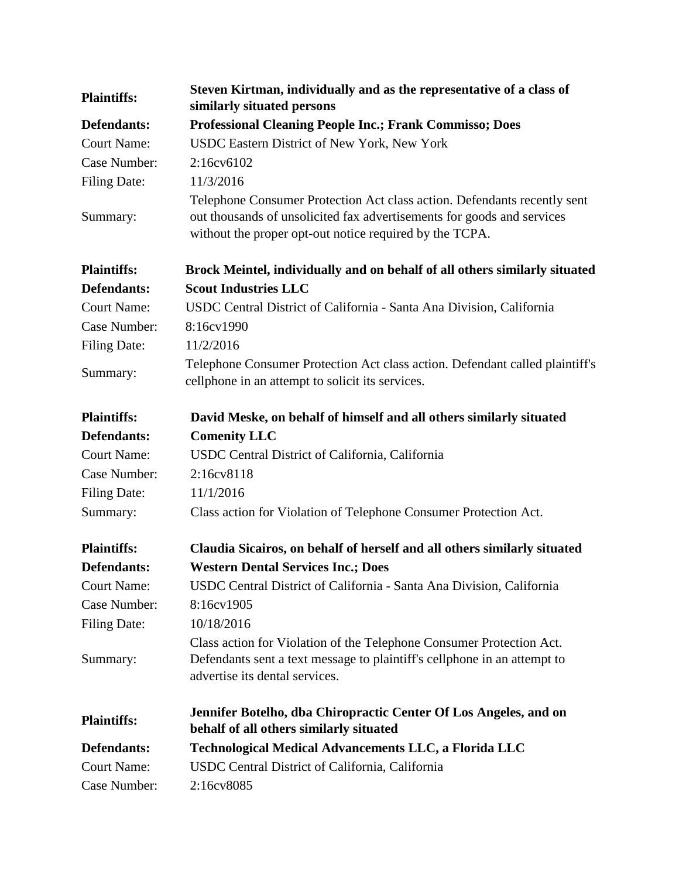| <b>Plaintiffs:</b>  | Steven Kirtman, individually and as the representative of a class of<br>similarly situated persons                                                                                                            |
|---------------------|---------------------------------------------------------------------------------------------------------------------------------------------------------------------------------------------------------------|
| Defendants:         | <b>Professional Cleaning People Inc.; Frank Commisso; Does</b>                                                                                                                                                |
| <b>Court Name:</b>  | USDC Eastern District of New York, New York                                                                                                                                                                   |
| Case Number:        | $2:16c\sqrt{6102}$                                                                                                                                                                                            |
| Filing Date:        | 11/3/2016                                                                                                                                                                                                     |
| Summary:            | Telephone Consumer Protection Act class action. Defendants recently sent<br>out thousands of unsolicited fax advertisements for goods and services<br>without the proper opt-out notice required by the TCPA. |
| <b>Plaintiffs:</b>  | Brock Meintel, individually and on behalf of all others similarly situated                                                                                                                                    |
| Defendants:         | <b>Scout Industries LLC</b>                                                                                                                                                                                   |
| <b>Court Name:</b>  | USDC Central District of California - Santa Ana Division, California                                                                                                                                          |
| Case Number:        | 8:16cv1990                                                                                                                                                                                                    |
| <b>Filing Date:</b> | 11/2/2016                                                                                                                                                                                                     |
| Summary:            | Telephone Consumer Protection Act class action. Defendant called plaintiff's<br>cellphone in an attempt to solicit its services.                                                                              |
| <b>Plaintiffs:</b>  | David Meske, on behalf of himself and all others similarly situated                                                                                                                                           |
| Defendants:         | <b>Comenity LLC</b>                                                                                                                                                                                           |
| <b>Court Name:</b>  | USDC Central District of California, California                                                                                                                                                               |
| Case Number:        | 2:16cv8118                                                                                                                                                                                                    |
| Filing Date:        | 11/1/2016                                                                                                                                                                                                     |
| Summary:            | Class action for Violation of Telephone Consumer Protection Act.                                                                                                                                              |
| <b>Plaintiffs:</b>  | Claudia Sicairos, on behalf of herself and all others similarly situated                                                                                                                                      |
| Defendants:         | <b>Western Dental Services Inc.; Does</b>                                                                                                                                                                     |
| <b>Court Name:</b>  | USDC Central District of California - Santa Ana Division, California                                                                                                                                          |
| Case Number:        | 8:16cv1905                                                                                                                                                                                                    |
| <b>Filing Date:</b> | 10/18/2016                                                                                                                                                                                                    |
| Summary:            | Class action for Violation of the Telephone Consumer Protection Act.<br>Defendants sent a text message to plaintiff's cellphone in an attempt to<br>advertise its dental services.                            |
| <b>Plaintiffs:</b>  | Jennifer Botelho, dba Chiropractic Center Of Los Angeles, and on<br>behalf of all others similarly situated                                                                                                   |
| Defendants:         | Technological Medical Advancements LLC, a Florida LLC                                                                                                                                                         |
| <b>Court Name:</b>  | USDC Central District of California, California                                                                                                                                                               |
| Case Number:        | 2:16cv8085                                                                                                                                                                                                    |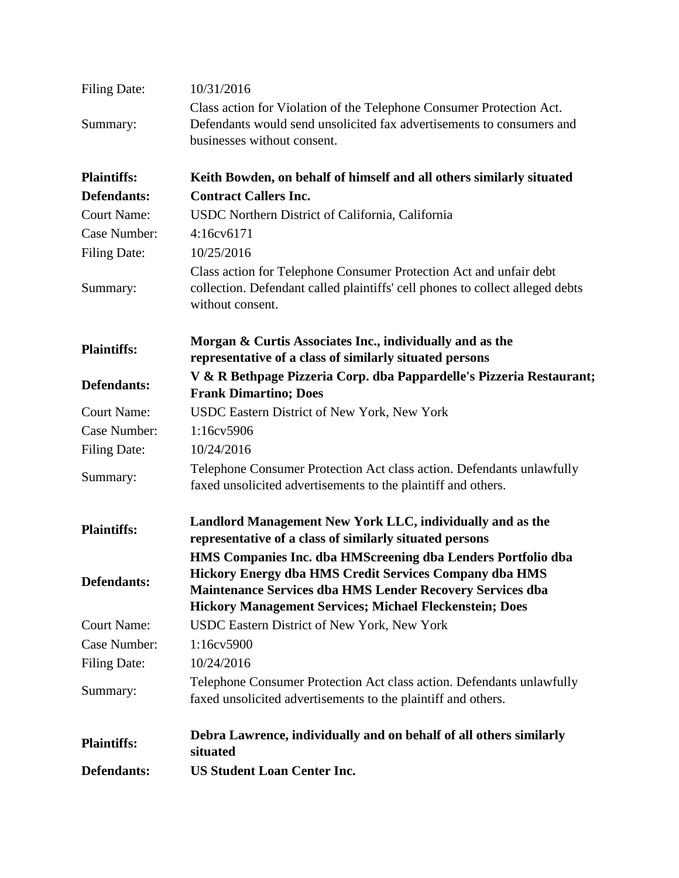| <b>Filing Date:</b> | 10/31/2016                                                                                                                                                                                                                                                   |
|---------------------|--------------------------------------------------------------------------------------------------------------------------------------------------------------------------------------------------------------------------------------------------------------|
| Summary:            | Class action for Violation of the Telephone Consumer Protection Act.<br>Defendants would send unsolicited fax advertisements to consumers and<br>businesses without consent.                                                                                 |
| <b>Plaintiffs:</b>  | Keith Bowden, on behalf of himself and all others similarly situated                                                                                                                                                                                         |
| <b>Defendants:</b>  | <b>Contract Callers Inc.</b>                                                                                                                                                                                                                                 |
| <b>Court Name:</b>  | USDC Northern District of California, California                                                                                                                                                                                                             |
| Case Number:        | 4:16cv6171                                                                                                                                                                                                                                                   |
| <b>Filing Date:</b> | 10/25/2016                                                                                                                                                                                                                                                   |
| Summary:            | Class action for Telephone Consumer Protection Act and unfair debt<br>collection. Defendant called plaintiffs' cell phones to collect alleged debts<br>without consent.                                                                                      |
| <b>Plaintiffs:</b>  | Morgan & Curtis Associates Inc., individually and as the<br>representative of a class of similarly situated persons                                                                                                                                          |
| Defendants:         | V & R Bethpage Pizzeria Corp. dba Pappardelle's Pizzeria Restaurant;<br><b>Frank Dimartino; Does</b>                                                                                                                                                         |
| <b>Court Name:</b>  | USDC Eastern District of New York, New York                                                                                                                                                                                                                  |
| Case Number:        | 1:16cv5906                                                                                                                                                                                                                                                   |
| <b>Filing Date:</b> | 10/24/2016                                                                                                                                                                                                                                                   |
| Summary:            | Telephone Consumer Protection Act class action. Defendants unlawfully<br>faxed unsolicited advertisements to the plaintiff and others.                                                                                                                       |
| <b>Plaintiffs:</b>  | Landlord Management New York LLC, individually and as the<br>representative of a class of similarly situated persons                                                                                                                                         |
| Defendants:         | HMS Companies Inc. dba HMScreening dba Lenders Portfolio dba<br><b>Hickory Energy dba HMS Credit Services Company dba HMS</b><br>Maintenance Services dba HMS Lender Recovery Services dba<br><b>Hickory Management Services; Michael Fleckenstein; Does</b> |
| <b>Court Name:</b>  | USDC Eastern District of New York, New York                                                                                                                                                                                                                  |
| Case Number:        | 1:16cv5900                                                                                                                                                                                                                                                   |
| <b>Filing Date:</b> | 10/24/2016                                                                                                                                                                                                                                                   |
| Summary:            | Telephone Consumer Protection Act class action. Defendants unlawfully<br>faxed unsolicited advertisements to the plaintiff and others.                                                                                                                       |
| <b>Plaintiffs:</b>  | Debra Lawrence, individually and on behalf of all others similarly<br>situated                                                                                                                                                                               |
| Defendants:         | <b>US Student Loan Center Inc.</b>                                                                                                                                                                                                                           |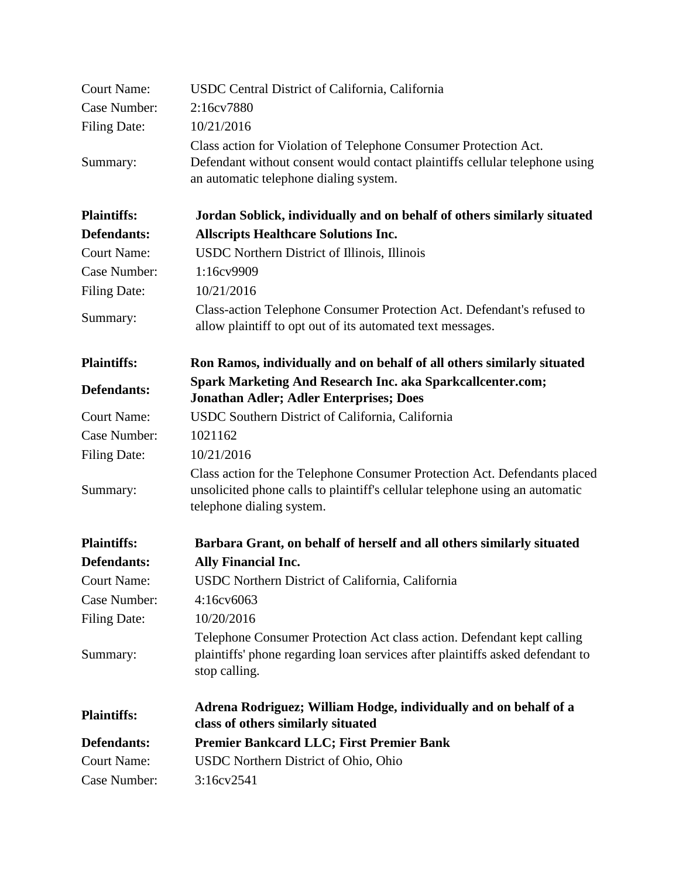| <b>Court Name:</b>  | USDC Central District of California, California                                                                     |
|---------------------|---------------------------------------------------------------------------------------------------------------------|
| Case Number:        | 2:16cv7880                                                                                                          |
| <b>Filing Date:</b> | 10/21/2016                                                                                                          |
|                     | Class action for Violation of Telephone Consumer Protection Act.                                                    |
| Summary:            | Defendant without consent would contact plaintiffs cellular telephone using                                         |
|                     | an automatic telephone dialing system.                                                                              |
| <b>Plaintiffs:</b>  | Jordan Soblick, individually and on behalf of others similarly situated                                             |
| <b>Defendants:</b>  | <b>Allscripts Healthcare Solutions Inc.</b>                                                                         |
| <b>Court Name:</b>  | USDC Northern District of Illinois, Illinois                                                                        |
| Case Number:        | 1:16cv9909                                                                                                          |
| <b>Filing Date:</b> | 10/21/2016                                                                                                          |
| Summary:            | Class-action Telephone Consumer Protection Act. Defendant's refused to                                              |
|                     | allow plaintiff to opt out of its automated text messages.                                                          |
| <b>Plaintiffs:</b>  | Ron Ramos, individually and on behalf of all others similarly situated                                              |
| <b>Defendants:</b>  | <b>Spark Marketing And Research Inc. aka Sparkcallcenter.com;</b><br><b>Jonathan Adler; Adler Enterprises; Does</b> |
| <b>Court Name:</b>  | USDC Southern District of California, California                                                                    |
| Case Number:        | 1021162                                                                                                             |
| <b>Filing Date:</b> | 10/21/2016                                                                                                          |
|                     | Class action for the Telephone Consumer Protection Act. Defendants placed                                           |
| Summary:            | unsolicited phone calls to plaintiff's cellular telephone using an automatic                                        |
|                     | telephone dialing system.                                                                                           |
| <b>Plaintiffs:</b>  | Barbara Grant, on behalf of herself and all others similarly situated                                               |
| <b>Defendants:</b>  | Ally Financial Inc.                                                                                                 |
| <b>Court Name:</b>  | USDC Northern District of California, California                                                                    |
| Case Number:        | 4:16cv6063                                                                                                          |
| Filing Date:        | 10/20/2016                                                                                                          |
|                     | Telephone Consumer Protection Act class action. Defendant kept calling                                              |
| Summary:            | plaintiffs' phone regarding loan services after plaintiffs asked defendant to                                       |
|                     | stop calling.                                                                                                       |
| <b>Plaintiffs:</b>  | Adrena Rodriguez; William Hodge, individually and on behalf of a                                                    |
|                     | class of others similarly situated                                                                                  |
| Defendants:         | Premier Bankcard LLC; First Premier Bank                                                                            |
| <b>Court Name:</b>  | USDC Northern District of Ohio, Ohio                                                                                |
| Case Number:        | 3:16cv2541                                                                                                          |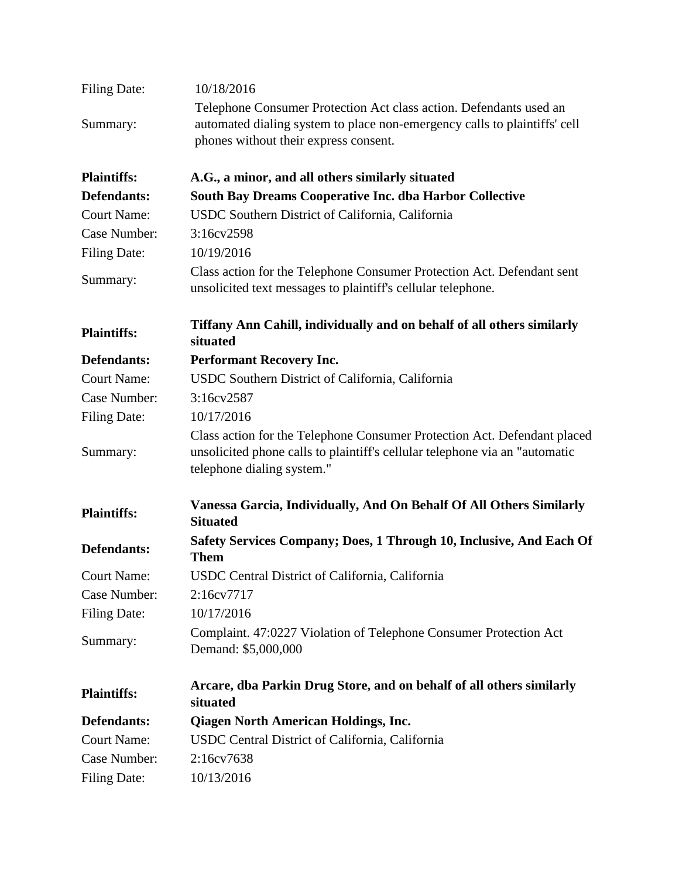| <b>Filing Date:</b> | 10/18/2016                                                                                                                                                                               |
|---------------------|------------------------------------------------------------------------------------------------------------------------------------------------------------------------------------------|
| Summary:            | Telephone Consumer Protection Act class action. Defendants used an<br>automated dialing system to place non-emergency calls to plaintiffs' cell<br>phones without their express consent. |
| <b>Plaintiffs:</b>  | A.G., a minor, and all others similarly situated                                                                                                                                         |
| Defendants:         | South Bay Dreams Cooperative Inc. dba Harbor Collective                                                                                                                                  |
| <b>Court Name:</b>  | USDC Southern District of California, California                                                                                                                                         |
| Case Number:        | 3:16cv2598                                                                                                                                                                               |
| <b>Filing Date:</b> | 10/19/2016                                                                                                                                                                               |
| Summary:            | Class action for the Telephone Consumer Protection Act. Defendant sent<br>unsolicited text messages to plaintiff's cellular telephone.                                                   |
| <b>Plaintiffs:</b>  | Tiffany Ann Cahill, individually and on behalf of all others similarly<br>situated                                                                                                       |
| Defendants:         | <b>Performant Recovery Inc.</b>                                                                                                                                                          |
| <b>Court Name:</b>  | USDC Southern District of California, California                                                                                                                                         |
| Case Number:        | 3:16cv2587                                                                                                                                                                               |
| Filing Date:        | 10/17/2016                                                                                                                                                                               |
| Summary:            | Class action for the Telephone Consumer Protection Act. Defendant placed<br>unsolicited phone calls to plaintiff's cellular telephone via an "automatic<br>telephone dialing system."    |
| <b>Plaintiffs:</b>  | Vanessa Garcia, Individually, And On Behalf Of All Others Similarly<br><b>Situated</b>                                                                                                   |
| <b>Defendants:</b>  | Safety Services Company; Does, 1 Through 10, Inclusive, And Each Of<br><b>Them</b>                                                                                                       |
| <b>Court Name:</b>  | USDC Central District of California, California                                                                                                                                          |
| Case Number:        | 2:16cv7717                                                                                                                                                                               |
| <b>Filing Date:</b> | 10/17/2016                                                                                                                                                                               |
| Summary:            | Complaint. 47:0227 Violation of Telephone Consumer Protection Act<br>Demand: \$5,000,000                                                                                                 |
| <b>Plaintiffs:</b>  | Arcare, dba Parkin Drug Store, and on behalf of all others similarly<br>situated                                                                                                         |
| Defendants:         | <b>Qiagen North American Holdings, Inc.</b>                                                                                                                                              |
| <b>Court Name:</b>  | USDC Central District of California, California                                                                                                                                          |
| Case Number:        | 2:16cv7638                                                                                                                                                                               |
| <b>Filing Date:</b> | 10/13/2016                                                                                                                                                                               |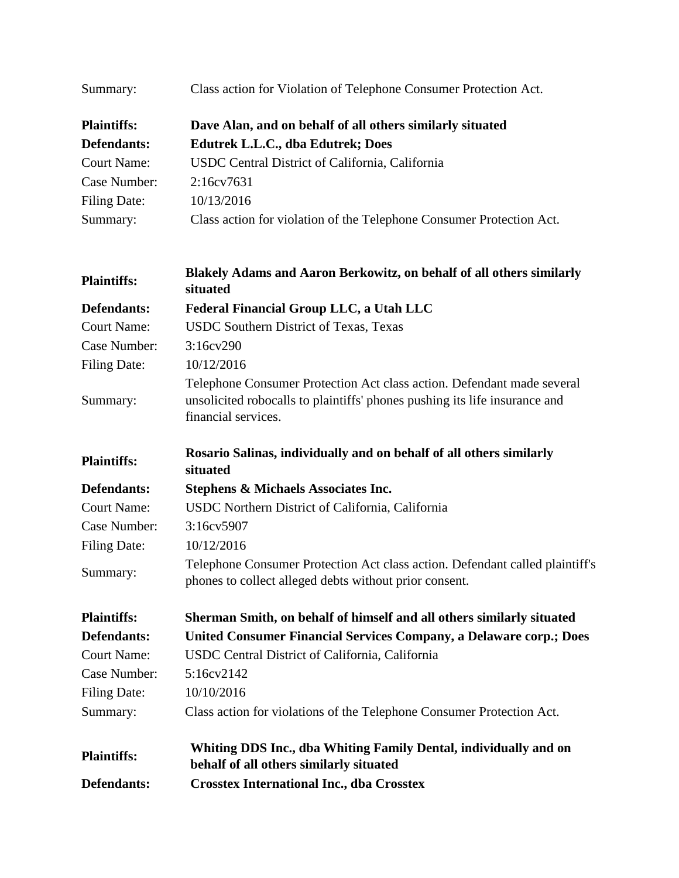| Summary:            | Class action for Violation of Telephone Consumer Protection Act.                                                                                                            |
|---------------------|-----------------------------------------------------------------------------------------------------------------------------------------------------------------------------|
| <b>Plaintiffs:</b>  | Dave Alan, and on behalf of all others similarly situated                                                                                                                   |
| Defendants:         | <b>Edutrek L.L.C., dba Edutrek; Does</b>                                                                                                                                    |
| <b>Court Name:</b>  | USDC Central District of California, California                                                                                                                             |
| Case Number:        | 2:16cv7631                                                                                                                                                                  |
| <b>Filing Date:</b> | 10/13/2016                                                                                                                                                                  |
| Summary:            | Class action for violation of the Telephone Consumer Protection Act.                                                                                                        |
| <b>Plaintiffs:</b>  | Blakely Adams and Aaron Berkowitz, on behalf of all others similarly<br>situated                                                                                            |
| Defendants:         | Federal Financial Group LLC, a Utah LLC                                                                                                                                     |
| <b>Court Name:</b>  | <b>USDC Southern District of Texas, Texas</b>                                                                                                                               |
| Case Number:        | 3:16cv290                                                                                                                                                                   |
| <b>Filing Date:</b> | 10/12/2016                                                                                                                                                                  |
| Summary:            | Telephone Consumer Protection Act class action. Defendant made several<br>unsolicited robocalls to plaintiffs' phones pushing its life insurance and<br>financial services. |
| <b>Plaintiffs:</b>  | Rosario Salinas, individually and on behalf of all others similarly<br>situated                                                                                             |
| Defendants:         | <b>Stephens &amp; Michaels Associates Inc.</b>                                                                                                                              |
| <b>Court Name:</b>  | USDC Northern District of California, California                                                                                                                            |
| Case Number:        | 3:16cv5907                                                                                                                                                                  |
| <b>Filing Date:</b> | 10/12/2016                                                                                                                                                                  |
| Summary:            | Telephone Consumer Protection Act class action. Defendant called plaintiff's<br>phones to collect alleged debts without prior consent.                                      |
| <b>Plaintiffs:</b>  | Sherman Smith, on behalf of himself and all others similarly situated                                                                                                       |
| Defendants:         | United Consumer Financial Services Company, a Delaware corp.; Does                                                                                                          |
| <b>Court Name:</b>  | USDC Central District of California, California                                                                                                                             |
| Case Number:        | 5:16cv2142                                                                                                                                                                  |
| <b>Filing Date:</b> | 10/10/2016                                                                                                                                                                  |
| Summary:            | Class action for violations of the Telephone Consumer Protection Act.                                                                                                       |
| <b>Plaintiffs:</b>  | Whiting DDS Inc., dba Whiting Family Dental, individually and on<br>behalf of all others similarly situated                                                                 |
| Defendants:         | <b>Crosstex International Inc., dba Crosstex</b>                                                                                                                            |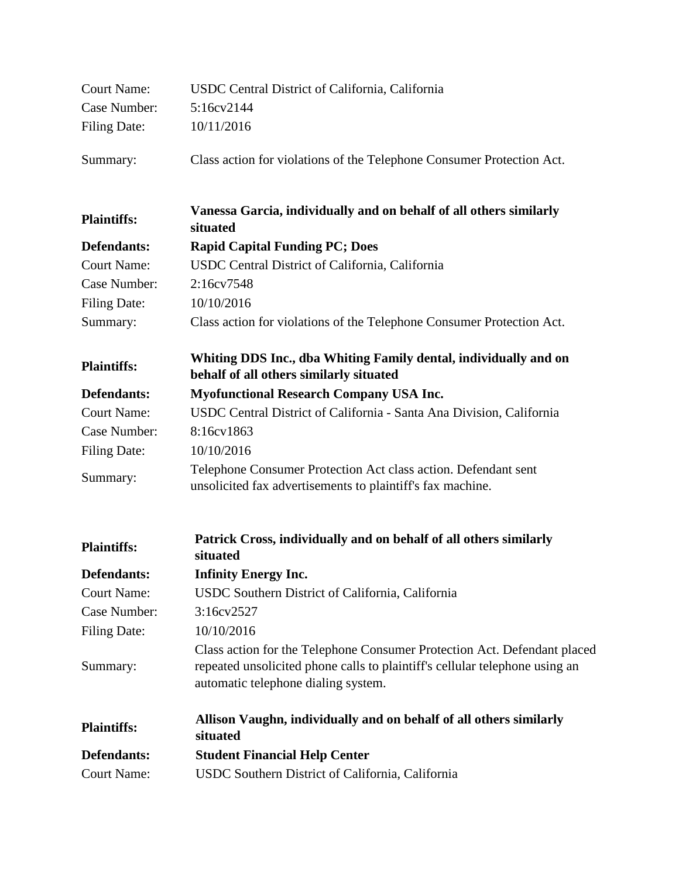| <b>Court Name:</b>  | USDC Central District of California, California                                                                                                                                                |
|---------------------|------------------------------------------------------------------------------------------------------------------------------------------------------------------------------------------------|
| Case Number:        | 5:16cv2144                                                                                                                                                                                     |
| <b>Filing Date:</b> | 10/11/2016                                                                                                                                                                                     |
| Summary:            | Class action for violations of the Telephone Consumer Protection Act.                                                                                                                          |
| <b>Plaintiffs:</b>  | Vanessa Garcia, individually and on behalf of all others similarly<br>situated                                                                                                                 |
| Defendants:         | <b>Rapid Capital Funding PC; Does</b>                                                                                                                                                          |
| <b>Court Name:</b>  | USDC Central District of California, California                                                                                                                                                |
| Case Number:        | 2:16cv7548                                                                                                                                                                                     |
| <b>Filing Date:</b> | 10/10/2016                                                                                                                                                                                     |
| Summary:            | Class action for violations of the Telephone Consumer Protection Act.                                                                                                                          |
| <b>Plaintiffs:</b>  | Whiting DDS Inc., dba Whiting Family dental, individually and on<br>behalf of all others similarly situated                                                                                    |
| Defendants:         | <b>Myofunctional Research Company USA Inc.</b>                                                                                                                                                 |
| <b>Court Name:</b>  | USDC Central District of California - Santa Ana Division, California                                                                                                                           |
| Case Number:        | 8:16cv1863                                                                                                                                                                                     |
| <b>Filing Date:</b> | 10/10/2016                                                                                                                                                                                     |
| Summary:            | Telephone Consumer Protection Act class action. Defendant sent<br>unsolicited fax advertisements to plaintiff's fax machine.                                                                   |
| <b>Plaintiffs:</b>  | Patrick Cross, individually and on behalf of all others similarly<br>situated                                                                                                                  |
| Defendants:         | <b>Infinity Energy Inc.</b>                                                                                                                                                                    |
| <b>Court Name:</b>  | USDC Southern District of California, California                                                                                                                                               |
| Case Number:        | 3:16cv2527                                                                                                                                                                                     |
| <b>Filing Date:</b> | 10/10/2016                                                                                                                                                                                     |
| Summary:            | Class action for the Telephone Consumer Protection Act. Defendant placed<br>repeated unsolicited phone calls to plaintiff's cellular telephone using an<br>automatic telephone dialing system. |
| <b>Plaintiffs:</b>  | Allison Vaughn, individually and on behalf of all others similarly<br>situated                                                                                                                 |
| Defendants:         | <b>Student Financial Help Center</b>                                                                                                                                                           |
| <b>Court Name:</b>  | USDC Southern District of California, California                                                                                                                                               |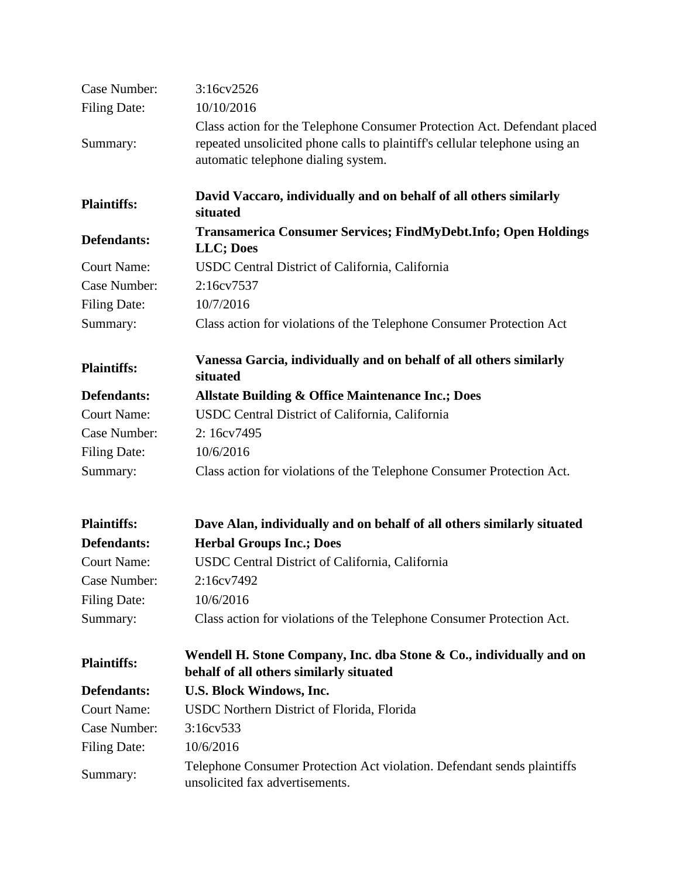| Case Number:        | 3:16cv2526                                                                                                                                                                                     |
|---------------------|------------------------------------------------------------------------------------------------------------------------------------------------------------------------------------------------|
| <b>Filing Date:</b> | 10/10/2016                                                                                                                                                                                     |
| Summary:            | Class action for the Telephone Consumer Protection Act. Defendant placed<br>repeated unsolicited phone calls to plaintiff's cellular telephone using an<br>automatic telephone dialing system. |
| <b>Plaintiffs:</b>  | David Vaccaro, individually and on behalf of all others similarly<br>situated                                                                                                                  |
| Defendants:         | Transamerica Consumer Services; FindMyDebt.Info; Open Holdings<br>LLC; Does                                                                                                                    |
| <b>Court Name:</b>  | USDC Central District of California, California                                                                                                                                                |
| Case Number:        | 2:16cv7537                                                                                                                                                                                     |
| <b>Filing Date:</b> | 10/7/2016                                                                                                                                                                                      |
| Summary:            | Class action for violations of the Telephone Consumer Protection Act                                                                                                                           |
| <b>Plaintiffs:</b>  | Vanessa Garcia, individually and on behalf of all others similarly<br>situated                                                                                                                 |
| Defendants:         | <b>Allstate Building &amp; Office Maintenance Inc.; Does</b>                                                                                                                                   |
| <b>Court Name:</b>  | USDC Central District of California, California                                                                                                                                                |
| Case Number:        | 2:16cv7495                                                                                                                                                                                     |
| <b>Filing Date:</b> | 10/6/2016                                                                                                                                                                                      |
| Summary:            | Class action for violations of the Telephone Consumer Protection Act.                                                                                                                          |
| <b>Plaintiffs:</b>  | Dave Alan, individually and on behalf of all others similarly situated                                                                                                                         |
| Defendants:         | <b>Herbal Groups Inc.; Does</b>                                                                                                                                                                |
| <b>Court Name:</b>  | USDC Central District of California, California                                                                                                                                                |
| Case Number:        | 2:16cv7492                                                                                                                                                                                     |
| <b>Filing Date:</b> | 10/6/2016                                                                                                                                                                                      |
| Summary:            | Class action for violations of the Telephone Consumer Protection Act.                                                                                                                          |
| <b>Plaintiffs:</b>  | Wendell H. Stone Company, Inc. dba Stone & Co., individually and on<br>behalf of all others similarly situated                                                                                 |
| Defendants:         | U.S. Block Windows, Inc.                                                                                                                                                                       |
| <b>Court Name:</b>  | USDC Northern District of Florida, Florida                                                                                                                                                     |
| Case Number:        | 3:16cv533                                                                                                                                                                                      |
| <b>Filing Date:</b> | 10/6/2016                                                                                                                                                                                      |
| Summary:            | Telephone Consumer Protection Act violation. Defendant sends plaintiffs<br>unsolicited fax advertisements.                                                                                     |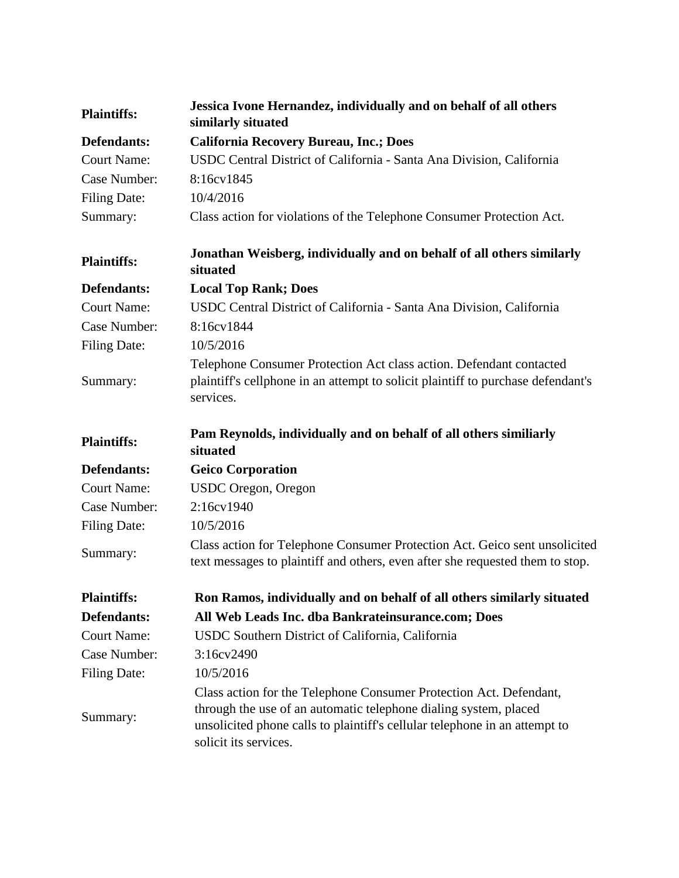| <b>Plaintiffs:</b>  | Jessica Ivone Hernandez, individually and on behalf of all others<br>similarly situated                                                                                                                                                       |
|---------------------|-----------------------------------------------------------------------------------------------------------------------------------------------------------------------------------------------------------------------------------------------|
| Defendants:         | <b>California Recovery Bureau, Inc.; Does</b>                                                                                                                                                                                                 |
| <b>Court Name:</b>  | USDC Central District of California - Santa Ana Division, California                                                                                                                                                                          |
| Case Number:        | 8:16cv1845                                                                                                                                                                                                                                    |
| <b>Filing Date:</b> | 10/4/2016                                                                                                                                                                                                                                     |
| Summary:            | Class action for violations of the Telephone Consumer Protection Act.                                                                                                                                                                         |
| <b>Plaintiffs:</b>  | Jonathan Weisberg, individually and on behalf of all others similarly<br>situated                                                                                                                                                             |
| Defendants:         | <b>Local Top Rank; Does</b>                                                                                                                                                                                                                   |
| <b>Court Name:</b>  | USDC Central District of California - Santa Ana Division, California                                                                                                                                                                          |
| Case Number:        | 8:16cv1844                                                                                                                                                                                                                                    |
| <b>Filing Date:</b> | 10/5/2016                                                                                                                                                                                                                                     |
| Summary:            | Telephone Consumer Protection Act class action. Defendant contacted<br>plaintiff's cellphone in an attempt to solicit plaintiff to purchase defendant's<br>services.                                                                          |
| <b>Plaintiffs:</b>  | Pam Reynolds, individually and on behalf of all others similiarly<br>situated                                                                                                                                                                 |
| Defendants:         | <b>Geico Corporation</b>                                                                                                                                                                                                                      |
| <b>Court Name:</b>  | USDC Oregon, Oregon                                                                                                                                                                                                                           |
| Case Number:        | 2:16cv1940                                                                                                                                                                                                                                    |
| <b>Filing Date:</b> | 10/5/2016                                                                                                                                                                                                                                     |
| Summary:            | Class action for Telephone Consumer Protection Act. Geico sent unsolicited<br>text messages to plaintiff and others, even after she requested them to stop.                                                                                   |
| <b>Plaintiffs:</b>  | Ron Ramos, individually and on behalf of all others similarly situated                                                                                                                                                                        |
| Defendants:         | All Web Leads Inc. dba Bankrateinsurance.com; Does                                                                                                                                                                                            |
| <b>Court Name:</b>  | USDC Southern District of California, California                                                                                                                                                                                              |
| Case Number:        | 3:16cv2490                                                                                                                                                                                                                                    |
| <b>Filing Date:</b> | 10/5/2016                                                                                                                                                                                                                                     |
| Summary:            | Class action for the Telephone Consumer Protection Act. Defendant,<br>through the use of an automatic telephone dialing system, placed<br>unsolicited phone calls to plaintiff's cellular telephone in an attempt to<br>solicit its services. |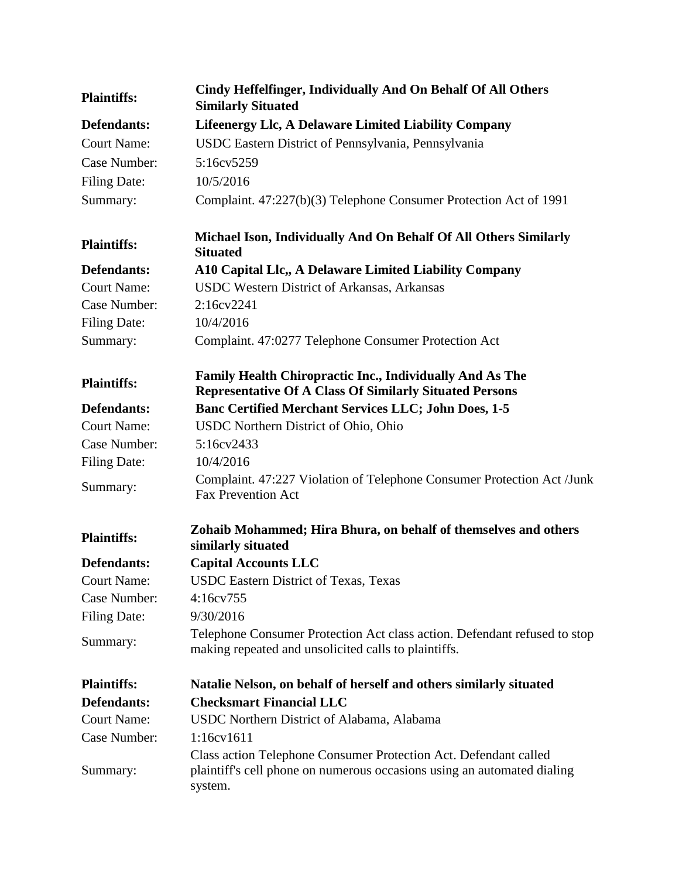| <b>Plaintiffs:</b>  | Cindy Heffelfinger, Individually And On Behalf Of All Others<br><b>Similarly Situated</b>                                                              |
|---------------------|--------------------------------------------------------------------------------------------------------------------------------------------------------|
| Defendants:         | <b>Lifeenergy Llc, A Delaware Limited Liability Company</b>                                                                                            |
| <b>Court Name:</b>  | USDC Eastern District of Pennsylvania, Pennsylvania                                                                                                    |
| Case Number:        | 5:16cv5259                                                                                                                                             |
| <b>Filing Date:</b> | 10/5/2016                                                                                                                                              |
| Summary:            | Complaint. 47:227(b)(3) Telephone Consumer Protection Act of 1991                                                                                      |
| <b>Plaintiffs:</b>  | Michael Ison, Individually And On Behalf Of All Others Similarly<br><b>Situated</b>                                                                    |
| Defendants:         | A10 Capital Llc,, A Delaware Limited Liability Company                                                                                                 |
| <b>Court Name:</b>  | USDC Western District of Arkansas, Arkansas                                                                                                            |
| Case Number:        | 2:16c <sub>V</sub> 2241                                                                                                                                |
| <b>Filing Date:</b> | 10/4/2016                                                                                                                                              |
| Summary:            | Complaint. 47:0277 Telephone Consumer Protection Act                                                                                                   |
| <b>Plaintiffs:</b>  | Family Health Chiropractic Inc., Individually And As The<br><b>Representative Of A Class Of Similarly Situated Persons</b>                             |
| Defendants:         | <b>Banc Certified Merchant Services LLC; John Does, 1-5</b>                                                                                            |
| <b>Court Name:</b>  | USDC Northern District of Ohio, Ohio                                                                                                                   |
| Case Number:        | 5:16cv2433                                                                                                                                             |
| <b>Filing Date:</b> | 10/4/2016                                                                                                                                              |
| Summary:            | Complaint. 47:227 Violation of Telephone Consumer Protection Act /Junk<br><b>Fax Prevention Act</b>                                                    |
| <b>Plaintiffs:</b>  | Zohaib Mohammed; Hira Bhura, on behalf of themselves and others<br>similarly situated                                                                  |
| Defendants:         | <b>Capital Accounts LLC</b>                                                                                                                            |
| <b>Court Name:</b>  | USDC Eastern District of Texas, Texas                                                                                                                  |
| Case Number:        | 4:16cv755                                                                                                                                              |
| <b>Filing Date:</b> | 9/30/2016                                                                                                                                              |
| Summary:            | Telephone Consumer Protection Act class action. Defendant refused to stop<br>making repeated and unsolicited calls to plaintiffs.                      |
| <b>Plaintiffs:</b>  | Natalie Nelson, on behalf of herself and others similarly situated                                                                                     |
| Defendants:         | <b>Checksmart Financial LLC</b>                                                                                                                        |
| <b>Court Name:</b>  | USDC Northern District of Alabama, Alabama                                                                                                             |
| Case Number:        | 1:16cv1611                                                                                                                                             |
| Summary:            | Class action Telephone Consumer Protection Act. Defendant called<br>plaintiff's cell phone on numerous occasions using an automated dialing<br>system. |